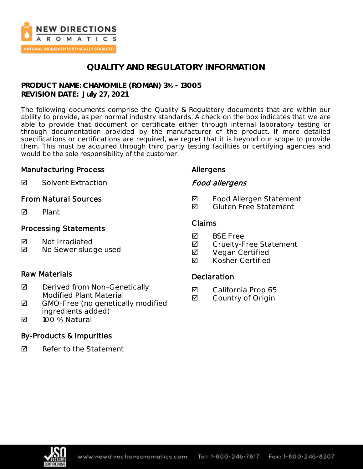

# **QUALITY AND REGULATORY INFORMATION**

**PRODUCT NAME: CHAMOMILE (ROMAN) 3% - 13005 REVISION DATE: July 27, 2021**

The following documents comprise the Quality & Regulatory documents that are within our ability to provide, as per normal industry standards. A check on the box indicates that we are able to provide that document or certificate either through internal laboratory testing or through documentation provided by the manufacturer of the product. If more detailed specifications or certifications are required, we regret that it is beyond our scope to provide them. This must be acquired through third party testing facilities or certifying agencies and would be the sole responsibility of the customer.

#### Manufacturing Process

Allergens

**Ø** Solvent Extraction

### From Natural Sources

 $\nabla$  Plant

### Processing Statements

- **M** Not Irradiated
- **Ø** No Sewer sludge used

### Raw Materials

- $\boxtimes$  Derived from Non-Genetically Modified Plant Material
- $\boxtimes$  GMO-Free (no genetically modified ingredients added)
- 100 % Natural

### By-Products & Impurities

 $\boxtimes$  Refer to the Statement

# Claims

**M** BSF Free

Food allergens

**Ø** Cruelty-Free Statement

**Ø** Food Allergen Statement **Ø** Gluten Free Statement

- **Ø** Vegan Certified
- **Ø** Kosher Certified

### **Declaration**

- **☑** California Prop 65
- **☑** Country of Origin

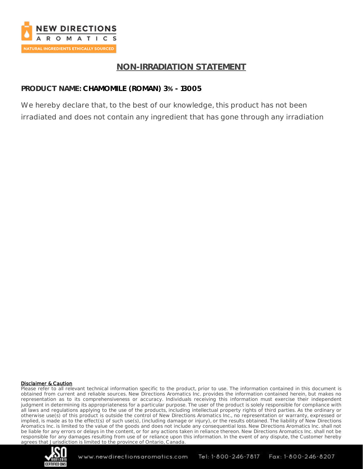

# **NON-IRRADIATION STATEMENT**

### **PRODUCT NAME: CHAMOMILE (ROMAN) 3% - 13005**

We hereby declare that, to the best of our knowledge, this product has not been irradiated and does not contain any ingredient that has gone through any irradiation

#### Disclaimer & Caution

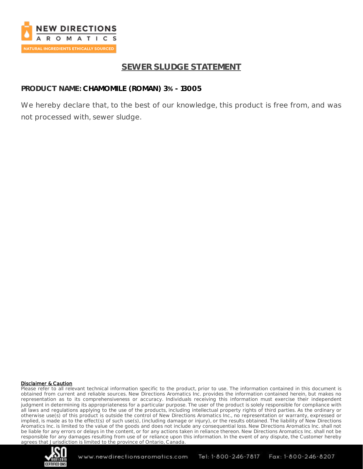

# **SEWER SLUDGE STATEMENT**

### **PRODUCT NAME: CHAMOMILE (ROMAN) 3% - 13005**

We hereby declare that, to the best of our knowledge, this product is free from, and was not processed with, sewer sludge.

#### Disclaimer & Caution

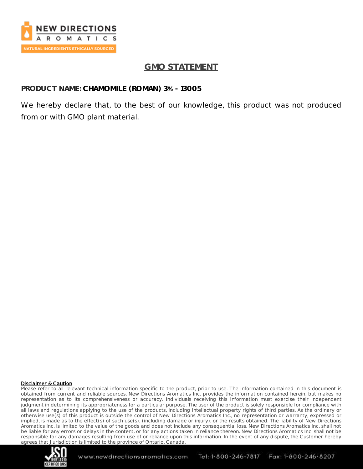

# **GMO STATEMENT**

### **PRODUCT NAME: CHAMOMILE (ROMAN) 3% - 13005**

We hereby declare that, to the best of our knowledge, this product was not produced from or with GMO plant material.

#### Disclaimer & Caution

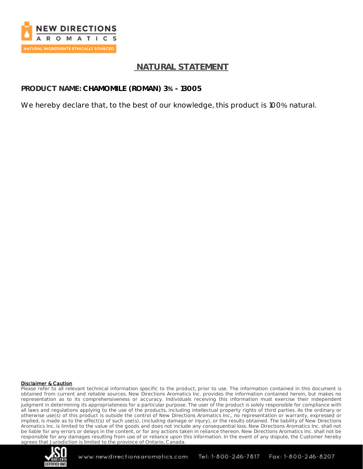

## **NATURAL STATEMENT**

### **PRODUCT NAME: CHAMOMILE (ROMAN) 3% - 13005**

We hereby declare that, to the best of our knowledge, this product is 100% natural.

#### Disclaimer & Caution

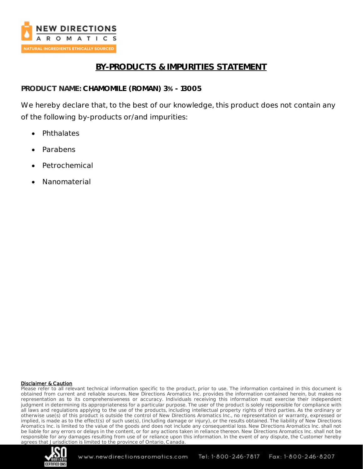

# **BY-PRODUCTS & IMPURITIES STATEMENT**

**PRODUCT NAME: CHAMOMILE (ROMAN) 3% - 13005**

We hereby declare that, to the best of our knowledge, this product does not contain any of the following by-products or/and impurities:

- Phthalates
- Parabens
- **Petrochemical**
- Nanomaterial

#### Disclaimer & Caution

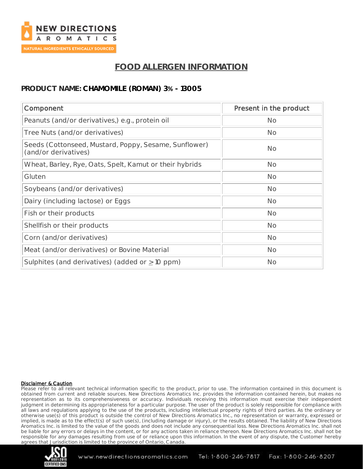

# **FOOD ALLERGEN INFORMATION**

### **PRODUCT NAME: CHAMOMILE (ROMAN) 3% - 13005**

| Component                                                                     | Present in the product |
|-------------------------------------------------------------------------------|------------------------|
| Peanuts (and/or derivatives,) e.g., protein oil                               | <b>No</b>              |
| Tree Nuts (and/or derivatives)                                                | <b>No</b>              |
| Seeds (Cottonseed, Mustard, Poppy, Sesame, Sunflower)<br>(and/or derivatives) | No                     |
| Wheat, Barley, Rye, Oats, Spelt, Kamut or their hybrids                       | <b>No</b>              |
| Gluten                                                                        | <b>No</b>              |
| Soybeans (and/or derivatives)                                                 | <b>No</b>              |
| Dairy (including lactose) or Eggs                                             | <b>No</b>              |
| Fish or their products                                                        | <b>No</b>              |
| Shellfish or their products                                                   | <b>No</b>              |
| Corn (and/or derivatives)                                                     | <b>No</b>              |
| Meat (and/or derivatives) or Bovine Material                                  | <b>No</b>              |
| Sulphites (and derivatives) (added or $\geq$ 10 ppm)                          | <b>No</b>              |

#### Disclaimer & Caution

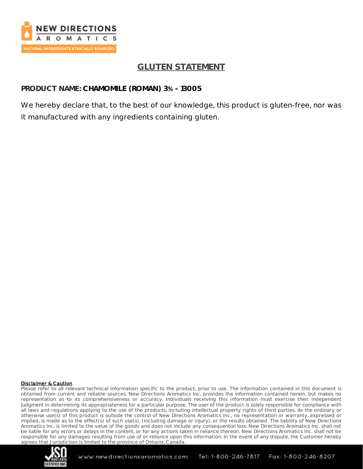

# **GLUTEN STATEMENT**

### **PRODUCT NAME: CHAMOMILE (ROMAN) 3% - 13005**

We hereby declare that, to the best of our knowledge, this product is gluten-free, nor was it manufactured with any ingredients containing gluten.

#### Disclaimer & Caution

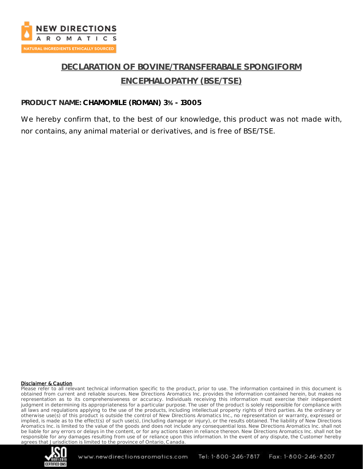

# **DECLARATION OF BOVINE/TRANSFERABALE SPONGIFORM ENCEPHALOPATHY (BSE/TSE)**

### **PRODUCT NAME: CHAMOMILE (ROMAN) 3% - 13005**

We hereby confirm that, to the best of our knowledge, this product was not made with, nor contains, any animal material or derivatives, and is free of BSE/TSE.

#### Disclaimer & Caution

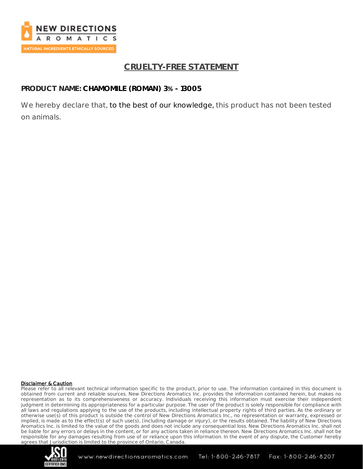

# **CRUELTY-FREE STATEMENT**

### **PRODUCT NAME: CHAMOMILE (ROMAN) 3% - 13005**

We hereby declare that, to the best of our knowledge, this product has not been tested on animals.

#### Disclaimer & Caution

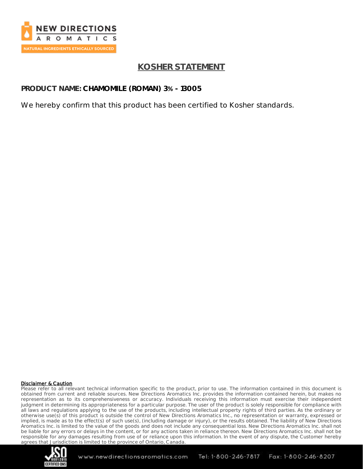

# **KOSHER STATEMENT**

**PRODUCT NAME: CHAMOMILE (ROMAN) 3% - 13005**

We hereby confirm that this product has been certified to Kosher standards.

#### Disclaimer & Caution

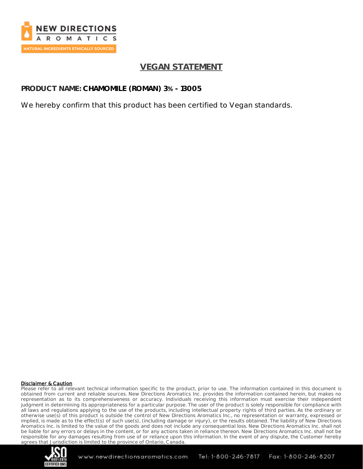

# **VEGAN STATEMENT**

**PRODUCT NAME: CHAMOMILE (ROMAN) 3% - 13005**

We hereby confirm that this product has been certified to Vegan standards.

#### Disclaimer & Caution

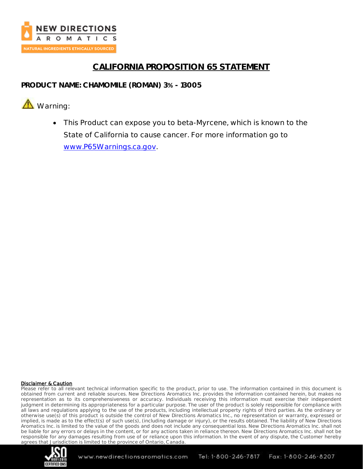

# **CALIFORNIA PROPOSITION 65 STATEMENT**

**PRODUCT NAME: CHAMOMILE (ROMAN) 3% - 13005**

**A** Warning:

• This Product can expose you to beta-Myrcene, which is known to the State of California to cause cancer. For more information go to [www.P65Warnings.ca.gov.](http://www.p65warnings.ca.gov/)

#### Disclaimer & Caution